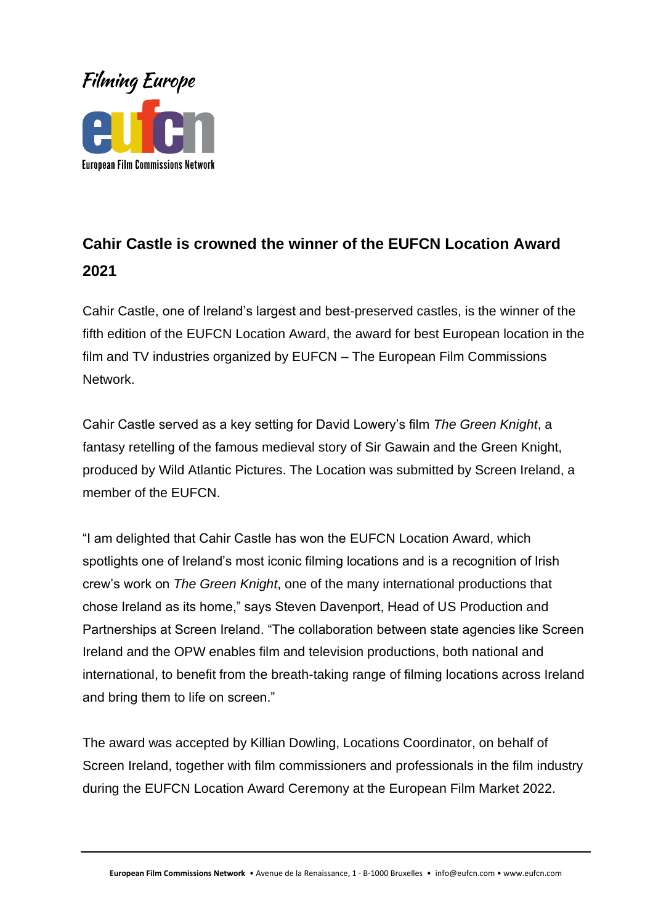

## **Cahir Castle is crowned the winner of the EUFCN Location Award 2021**

Cahir Castle, one of Ireland's largest and best-preserved castles, is the winner of the fifth edition of the EUFCN Location Award, the award for best European location in the film and TV industries organized by EUFCN – The European Film Commissions Network.

Cahir Castle served as a key setting for David Lowery's film *The Green Knight*, a fantasy retelling of the famous medieval story of Sir Gawain and the Green Knight, produced by Wild Atlantic Pictures. The Location was submitted by Screen Ireland, a member of the EUFCN.

"I am delighted that Cahir Castle has won the EUFCN Location Award, which spotlights one of Ireland's most iconic filming locations and is a recognition of Irish crew's work on *The Green Knight*, one of the many international productions that chose Ireland as its home," says Steven Davenport, Head of US Production and Partnerships at Screen Ireland. "The collaboration between state agencies like Screen Ireland and the OPW enables film and television productions, both national and international, to benefit from the breath-taking range of filming locations across Ireland and bring them to life on screen."

The award was accepted by Killian Dowling, Locations Coordinator, on behalf of Screen Ireland, together with film commissioners and professionals in the film industry during the EUFCN Location Award Ceremony at the European Film Market 2022.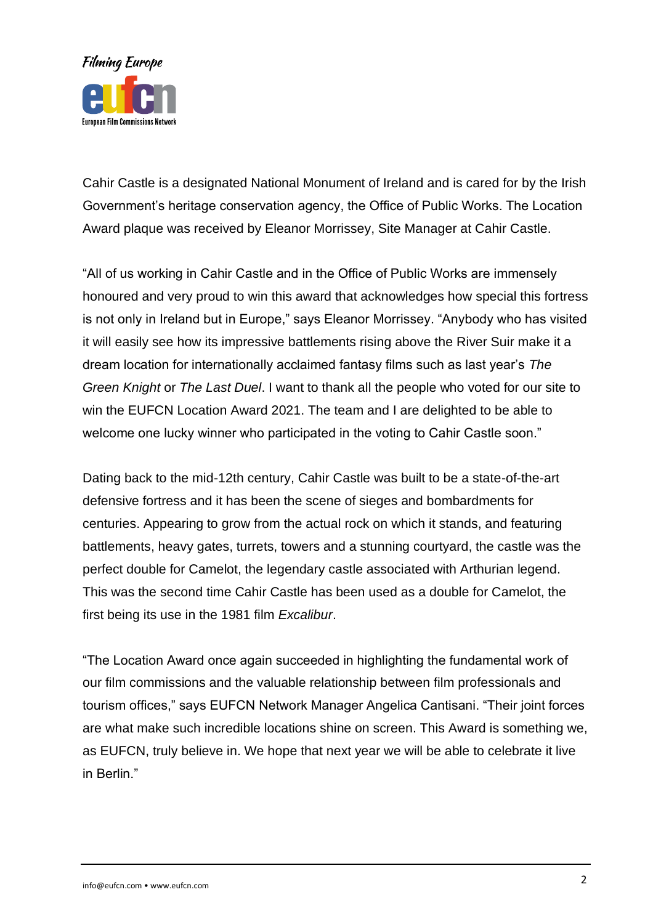

Cahir Castle is a designated National Monument of Ireland and is cared for by the Irish Government's heritage conservation agency, the Office of Public Works. The Location Award plaque was received by Eleanor Morrissey, Site Manager at Cahir Castle.

"All of us working in Cahir Castle and in the Office of Public Works are immensely honoured and very proud to win this award that acknowledges how special this fortress is not only in Ireland but in Europe," says Eleanor Morrissey. "Anybody who has visited it will easily see how its impressive battlements rising above the River Suir make it a dream location for internationally acclaimed fantasy films such as last year's *The Green Knight* or *The Last Duel*. I want to thank all the people who voted for our site to win the EUFCN Location Award 2021. The team and I are delighted to be able to welcome one lucky winner who participated in the voting to Cahir Castle soon."

Dating back to the mid-12th century, Cahir Castle was built to be a state-of-the-art defensive fortress and it has been the scene of sieges and bombardments for centuries. Appearing to grow from the actual rock on which it stands, and featuring battlements, heavy gates, turrets, towers and a stunning courtyard, the castle was the perfect double for Camelot, the legendary castle associated with Arthurian legend. This was the second time Cahir Castle has been used as a double for Camelot, the first being its use in the 1981 film *Excalibur*.

"The Location Award once again succeeded in highlighting the fundamental work of our film commissions and the valuable relationship between film professionals and tourism offices," says EUFCN Network Manager Angelica Cantisani. "Their joint forces are what make such incredible locations shine on screen. This Award is something we, as EUFCN, truly believe in. We hope that next year we will be able to celebrate it live in Berlin<sup>"</sup>